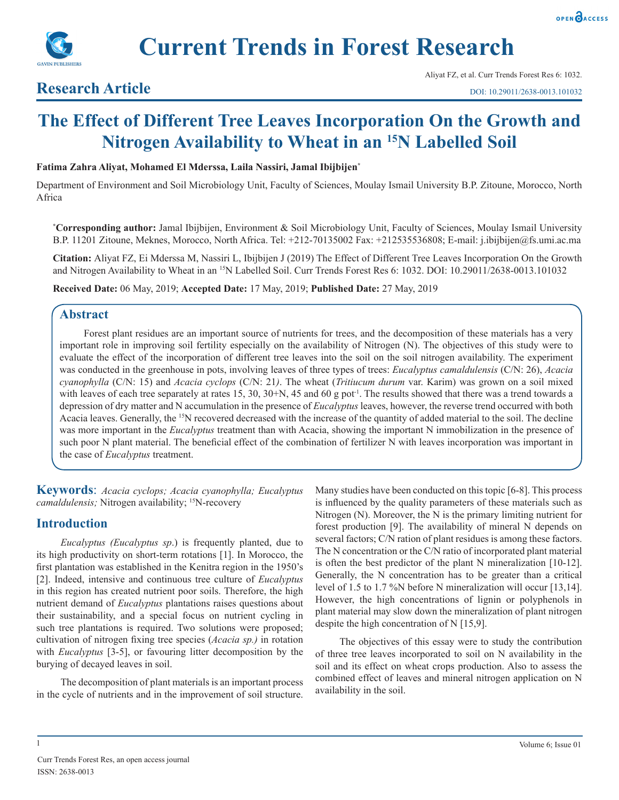

**Current Trends in Forest Research**

# **Research Article**

# **The Effect of Different Tree Leaves Incorporation On the Growth and Nitrogen Availability to Wheat in an 15N Labelled Soil**

#### **Fatima Zahra Aliyat, Mohamed El Mderssa, Laila Nassiri, Jamal Ibijbijen\***

Department of Environment and Soil Microbiology Unit, Faculty of Sciences, Moulay Ismail University B.P. Zitoune, Morocco, North Africa

**\* Corresponding author:** Jamal Ibijbijen, Environment & Soil Microbiology Unit, Faculty of Sciences, Moulay Ismail University B.P. 11201 Zitoune, Meknes, Morocco, North Africa. Tel: +212-70135002 Fax: +212535536808; E-mail: j.ibijbijen@fs.umi.ac.ma

**Citation:** Aliyat FZ, Ei Mderssa M, Nassiri L, Ibijbijen J (2019) The Effect of Different Tree Leaves Incorporation On the Growth and Nitrogen Availability to Wheat in an <sup>15</sup>N Labelled Soil. Curr Trends Forest Res 6: 1032. DOI: 10.29011/2638-0013.101032

**Received Date:** 06 May, 2019; **Accepted Date:** 17 May, 2019; **Published Date:** 27 May, 2019

# **Abstract**

Forest plant residues are an important source of nutrients for trees, and the decomposition of these materials has a very important role in improving soil fertility especially on the availability of Nitrogen (N). The objectives of this study were to evaluate the effect of the incorporation of different tree leaves into the soil on the soil nitrogen availability. The experiment was conducted in the greenhouse in pots, involving leaves of three types of trees: *Eucalyptus camaldulensis* (C/N: 26), *Acacia cyanophylla* (C/N: 15) and *Acacia cyclops* (C/N: 21*)*. The wheat (*Tritiucum durum* var. Karim) was grown on a soil mixed with leaves of each tree separately at rates 15, 30, 30+N, 45 and 60 g pot<sup>-1</sup>. The results showed that there was a trend towards a depression of dry matter and N accumulation in the presence of *Eucalyptus* leaves, however, the reverse trend occurred with both Acacia leaves. Generally, the 15N recovered decreased with the increase of the quantity of added material to the soil. The decline was more important in the *Eucalyptus* treatment than with Acacia, showing the important N immobilization in the presence of such poor N plant material. The beneficial effect of the combination of fertilizer N with leaves incorporation was important in the case of *Eucalyptus* treatment.

**Keywords**: *Acacia cyclops; Acacia cyanophylla; Eucalyptus camaldulensis;* Nitrogen availability; <sup>15</sup>N-recovery

# **Introduction**

*Eucalyptus (Eucalyptus sp*.) is frequently planted, due to its high productivity on short-term rotations [1]. In Morocco, the first plantation was established in the Kenitra region in the 1950's [2]. Indeed, intensive and continuous tree culture of *Eucalyptus* in this region has created nutrient poor soils. Therefore, the high nutrient demand of *Eucalyptus* plantations raises questions about their sustainability, and a special focus on nutrient cycling in such tree plantations is required. Two solutions were proposed; cultivation of nitrogen fixing tree species (*Acacia sp.)* in rotation with *Eucalyptus* [3-5], or favouring litter decomposition by the burying of decayed leaves in soil.

The decomposition of plant materials is an important process in the cycle of nutrients and in the improvement of soil structure.

Many studies have been conducted on this topic [6-8]. This process is influenced by the quality parameters of these materials such as Nitrogen (N). Moreover, the N is the primary limiting nutrient for forest production [9]. The availability of mineral N depends on several factors; C/N ration of plant residues is among these factors. The N concentration or the C/N ratio of incorporated plant material is often the best predictor of the plant N mineralization [10-12]. Generally, the N concentration has to be greater than a critical level of 1.5 to 1.7 %N before N mineralization will occur [13,14]. However, the high concentrations of lignin or polyphenols in plant material may slow down the mineralization of plant nitrogen despite the high concentration of N [15,9].

The objectives of this essay were to study the contribution of three tree leaves incorporated to soil on N availability in the soil and its effect on wheat crops production. Also to assess the combined effect of leaves and mineral nitrogen application on N availability in the soil.

1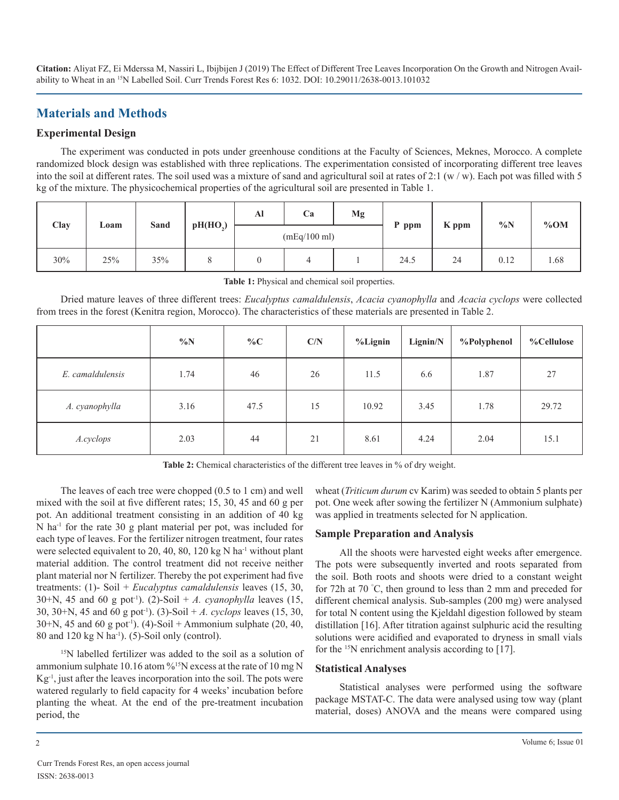# **Materials and Methods**

# **Experimental Design**

The experiment was conducted in pots under greenhouse conditions at the Faculty of Sciences, Meknes, Morocco. A complete randomized block design was established with three replications. The experimentation consisted of incorporating different tree leaves into the soil at different rates. The soil used was a mixture of sand and agricultural soil at rates of 2:1 (w / w). Each pot was filled with 5 kg of the mixture. The physicochemical properties of the agricultural soil are presented in Table 1.

| Clay |      | Sand |                      | Al           | Ca | Mg | P ppm |       | $\%N$ | %OM  |
|------|------|------|----------------------|--------------|----|----|-------|-------|-------|------|
|      | Loam |      | pH(HO <sub>2</sub> ) | (mEq/100 ml) |    |    |       | K ppm |       |      |
| 30%  | 25%  | 35%  |                      |              |    |    | 24.5  | 24    | 0.12  | 1.68 |

**Table 1:** Physical and chemical soil properties.

Dried mature leaves of three different trees: *Eucalyptus camaldulensis*, *Acacia cyanophylla* and *Acacia cyclops* were collected from trees in the forest (Kenitra region, Morocco). The characteristics of these materials are presented in Table 2.

|                  | $\%N$ | $\%C$ | C/N | $%$ Lignin | Lignin/N | %Polyphenol | %Cellulose |
|------------------|-------|-------|-----|------------|----------|-------------|------------|
| E. camaldulensis | 1.74  | 46    | 26  | 11.5       | 6.6      | 1.87        | 27         |
| A. cyanophylla   | 3.16  | 47.5  | 15  | 10.92      | 3.45     | 1.78        | 29.72      |
| A.cyclops        | 2.03  | 44    | 21  | 8.61       | 4.24     | 2.04        | 15.1       |

**Table 2:** Chemical characteristics of the different tree leaves in % of dry weight.

The leaves of each tree were chopped (0.5 to 1 cm) and well mixed with the soil at five different rates; 15, 30, 45 and 60 g per pot. An additional treatment consisting in an addition of 40 kg N ha-1 for the rate 30 g plant material per pot, was included for each type of leaves. For the fertilizer nitrogen treatment, four rates were selected equivalent to 20, 40, 80, 120 kg N ha<sup>-1</sup> without plant material addition. The control treatment did not receive neither plant material nor N fertilizer. Thereby the pot experiment had five treatments: (1)- Soil + *Eucalyptus camaldulensis* leaves (15, 30, 30+N, 45 and 60 g pot<sup>-1</sup>). (2)-Soil + *A. cyanophylla* leaves (15, 30, 30+N, 45 and 60 g pot-1). (3)-Soil + *A. cyclops* leaves (15, 30, 30+N, 45 and 60 g pot<sup>-1</sup>). (4)-Soil + Ammonium sulphate (20, 40, 80 and 120 kg N ha<sup>-1</sup>). (5)-Soil only (control).

<sup>15</sup>N labelled fertilizer was added to the soil as a solution of ammonium sulphate 10.16 atom %<sup>15</sup>N excess at the rate of 10 mg N  $Kg^{-1}$ , just after the leaves incorporation into the soil. The pots were watered regularly to field capacity for 4 weeks' incubation before planting the wheat. At the end of the pre-treatment incubation period, the

wheat (*Triticum durum* cv Karim) was seeded to obtain 5 plants per pot. One week after sowing the fertilizer N (Ammonium sulphate) was applied in treatments selected for N application.

# **Sample Preparation and Analysis**

All the shoots were harvested eight weeks after emergence. The pots were subsequently inverted and roots separated from the soil. Both roots and shoots were dried to a constant weight for 72h at 70 ° C, then ground to less than 2 mm and preceded for different chemical analysis. Sub-samples (200 mg) were analysed for total N content using the Kjeldahl digestion followed by steam distillation [16]. After titration against sulphuric acid the resulting solutions were acidified and evaporated to dryness in small vials for the <sup>15</sup>N enrichment analysis according to [17].

#### **Statistical Analyses**

Statistical analyses were performed using the software package MSTAT-C. The data were analysed using tow way (plant material, doses) ANOVA and the means were compared using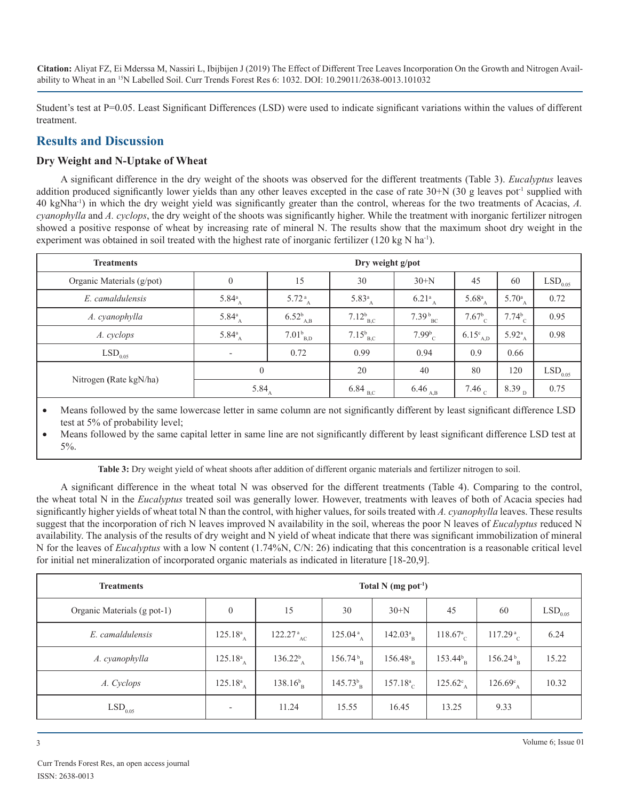Student's test at P=0.05. Least Significant Differences (LSD) were used to indicate significant variations within the values of different treatment.

# **Results and Discussion**

# **Dry Weight and N-Uptake of Wheat**

A significant difference in the dry weight of the shoots was observed for the different treatments (Table 3). *Eucalyptus* leaves addition produced significantly lower yields than any other leaves excepted in the case of rate  $30+N$  (30 g leaves pot<sup>-1</sup> supplied with 40 kgNha-1) in which the dry weight yield was significantly greater than the control, whereas for the two treatments of Acacias, *A. cyanophylla* and *A. cyclops*, the dry weight of the shoots was significantly higher. While the treatment with inorganic fertilizer nitrogen showed a positive response of wheat by increasing rate of mineral N. The results show that the maximum shoot dry weight in the experiment was obtained in soil treated with the highest rate of inorganic fertilizer (120 kg N ha<sup>-1</sup>).

| <b>Treatments</b>         | Dry weight g/pot         |                             |                          |                             |                      |                    |                       |  |  |
|---------------------------|--------------------------|-----------------------------|--------------------------|-----------------------------|----------------------|--------------------|-----------------------|--|--|
| Organic Materials (g/pot) | $\mathbf{0}$             | 15                          | 30                       | $30+N$                      | 45                   | 60                 | $LSD$ <sub>0.05</sub> |  |  |
| E. camaldulensis          | 5.84 $^{a}$ <sub>A</sub> | $5.72\frac{a}{A}$           | 5.83 $^{a}$ <sub>A</sub> | $6.21^{\rm a}$ <sub>A</sub> | $5.68^{a}_{A}$       | $5.70^a_A$         | 0.72                  |  |  |
| A. cyanophylla            | 5.84 $^{a}$              | $6.52^{b}$ <sub>A,B</sub>   | $7.12_{B,C}^{b}$         | $7.39_{BC}^{b}$             | 7.67 <sup>b</sup>    | $7.74_{C}^{b}$     | 0.95                  |  |  |
| A. cyclops                | 5.84 $^{a}$ <sub>A</sub> | $7.01_{_{\rm B,D}}^{\rm b}$ | $7.15_{B,C}^{b}$         | $7.99^{b}_{c}$              | $6.15^{\circ}_{A,D}$ | $5.92^{a}_{A}$     | 0.98                  |  |  |
| $LSD$ <sub>0.05</sub>     | $\overline{\phantom{a}}$ | 0.72                        | 0.99                     | 0.94                        | 0.9                  | 0.66               |                       |  |  |
|                           | $\mathbf{0}$             |                             | 20                       | 40                          | 80                   | 120                | $LSD$ <sub>0.05</sub> |  |  |
| Nitrogen (Rate kgN/ha)    | 5.84 $_{A}$              |                             | $6.84$ <sub>B,C</sub>    | $6.46_{A,B}$                | 7.46 $_{\rm c}$      | 8.39 $_{\text{D}}$ | 0.75                  |  |  |

Means followed by the same lowercase letter in same column are not significantly different by least significant difference LSD test at 5% of probability level;

Means followed by the same capital letter in same line are not significantly different by least significant difference LSD test at 5%.

**Table 3:** Dry weight yield of wheat shoots after addition of different organic materials and fertilizer nitrogen to soil.

A significant difference in the wheat total N was observed for the different treatments (Table 4). Comparing to the control, the wheat total N in the *Eucalyptus* treated soil was generally lower. However, treatments with leaves of both of Acacia species had significantly higher yields of wheat total N than the control, with higher values, for soils treated with *A. cyanophylla* leaves. These results suggest that the incorporation of rich N leaves improved N availability in the soil, whereas the poor N leaves of *Eucalyptus* reduced N availability. The analysis of the results of dry weight and N yield of wheat indicate that there was significant immobilization of mineral N for the leaves of *Eucalyptus* with a low N content (1.74%N, C/N: 26) indicating that this concentration is a reasonable critical level for initial net mineralization of incorporated organic materials as indicated in literature [18-20,9].

| <b>Treatments</b>           | Total $N$ (mg pot <sup>-1</sup> ) |                         |                                  |                                  |                         |                      |                       |  |  |
|-----------------------------|-----------------------------------|-------------------------|----------------------------------|----------------------------------|-------------------------|----------------------|-----------------------|--|--|
| Organic Materials (g pot-1) | $\theta$                          | 15                      | 30                               | $30+N$                           | 45                      | 60                   | $\mathrm{LSD}_{0.05}$ |  |  |
| E. camaldulensis            | $125.18^a_{A}$                    | $122.27a_{AC}$          | 125.04 <sup>a</sup> <sub>A</sub> | 142.03 <sup>a</sup> <sub>B</sub> | $118.67a$ <sub>C</sub>  | 117.29 <sup>a</sup>  | 6.24                  |  |  |
| A. cyanophylla              | $125.18^a_{A}$                    | $136.22_{A}^{b}$        | $156.74\frac{b}{B}$              | $156.48^a_{\text{B}}$            | $153.44_{\text{B}}^{b}$ | $156.24\frac{b}{B}$  | 15.22                 |  |  |
| A. Cyclops                  | $125.18^a_{\ A}$                  | $138.16_{\text{B}}^{b}$ | $145.73_{\text{B}}^{b}$          | $157.18a$ <sub>C</sub>           | $125.62^{\circ}_{A}$    | $126.69^{\circ}_{A}$ | 10.32                 |  |  |
| $LSD$ <sub>0.05</sub>       | $\overline{\phantom{a}}$          | 11.24                   | 15.55                            | 16.45                            | 13.25                   | 9.33                 |                       |  |  |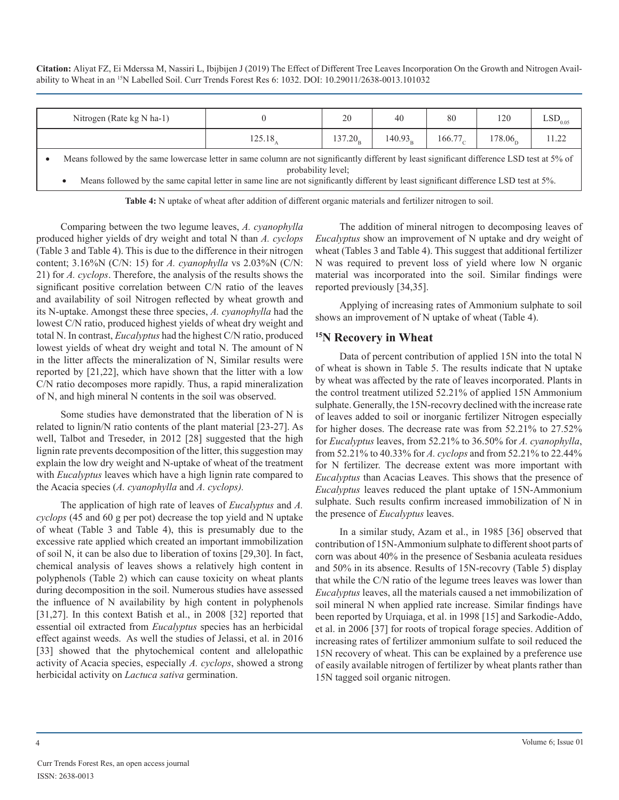| Nitrogen (Rate $kg N$ ha-1)                                                                                                                                                                                                                                                                                |        | 20<br>40            |                     | 80               | 120                   | $\mathrm{LSD}_{0.05}$ |  |  |
|------------------------------------------------------------------------------------------------------------------------------------------------------------------------------------------------------------------------------------------------------------------------------------------------------------|--------|---------------------|---------------------|------------------|-----------------------|-----------------------|--|--|
|                                                                                                                                                                                                                                                                                                            | 125.18 | 137.20 <sub>n</sub> | 140.93 <sub>n</sub> | $166.77_{\circ}$ | $178.06$ <sub>c</sub> | 11.22                 |  |  |
| Means followed by the same lowercase letter in same column are not significantly different by least significant difference LSD test at 5% of<br>probability level;<br>الموافقات والمستنقص والمقارب والمستنقص والمستنقص والمستنقص والمستنقص والمستنقص والمستنقص والمستنقص والمستنقص والمستنقص<br>.<br>_____ |        |                     |                     |                  |                       |                       |  |  |

Means followed by the same capital letter in same line are not significantly different by least significant difference LSD test at 5%.

**Table 4:** N uptake of wheat after addition of different organic materials and fertilizer nitrogen to soil.

Comparing between the two legume leaves, *A. cyanophylla* produced higher yields of dry weight and total N than *A. cyclops* (Table 3 and Table 4). This is due to the difference in their nitrogen content; 3.16%N (C/N: 15) for *A. cyanophylla* vs 2.03%N (C/N: 21) for *A. cyclops*. Therefore, the analysis of the results shows the significant positive correlation between C/N ratio of the leaves and availability of soil Nitrogen reflected by wheat growth and its N-uptake. Amongst these three species, *A. cyanophylla* had the lowest C/N ratio, produced highest yields of wheat dry weight and total N. In contrast, *Eucalyptus* had the highest C/N ratio, produced lowest yields of wheat dry weight and total N. The amount of N in the litter affects the mineralization of N, Similar results were reported by [21,22], which have shown that the litter with a low C/N ratio decomposes more rapidly. Thus, a rapid mineralization of N, and high mineral N contents in the soil was observed.

Some studies have demonstrated that the liberation of N is related to lignin/N ratio contents of the plant material [23-27]. As well, Talbot and Treseder, in 2012 [28] suggested that the high lignin rate prevents decomposition of the litter, this suggestion may explain the low dry weight and N-uptake of wheat of the treatment with *Eucalyptus* leaves which have a high lignin rate compared to the Acacia species (*A. cyanophylla* and *A. cyclops).*

The application of high rate of leaves of *Eucalyptus* and *A. cyclops* (45 and 60 g per pot) decrease the top yield and N uptake of wheat (Table 3 and Table 4), this is presumably due to the excessive rate applied which created an important immobilization of soil N, it can be also due to liberation of toxins [29,30]. In fact, chemical analysis of leaves shows a relatively high content in polyphenols (Table 2) which can cause toxicity on wheat plants during decomposition in the soil. Numerous studies have assessed the influence of N availability by high content in polyphenols [31,27]. In this context Batish et al., in 2008 [32] reported that essential oil extracted from *Eucalyptus* species has an herbicidal effect against weeds. As well the studies of Jelassi, et al. in 2016 [33] showed that the phytochemical content and allelopathic activity of Acacia species, especially *A. cyclops*, showed a strong herbicidal activity on *Lactuca sativa* germination.

The addition of mineral nitrogen to decomposing leaves of *Eucalyptus* show an improvement of N uptake and dry weight of wheat (Tables 3 and Table 4). This suggest that additional fertilizer N was required to prevent loss of yield where low N organic material was incorporated into the soil. Similar findings were reported previously [34,35].

Applying of increasing rates of Ammonium sulphate to soil shows an improvement of N uptake of wheat (Table 4).

# **15N Recovery in Wheat**

Data of percent contribution of applied 15N into the total N of wheat is shown in Table 5. The results indicate that N uptake by wheat was affected by the rate of leaves incorporated. Plants in the control treatment utilized 52.21% of applied 15N Ammonium sulphate. Generally, the 15N-recovry declined with the increase rate of leaves added to soil or inorganic fertilizer Nitrogen especially for higher doses. The decrease rate was from 52.21% to 27.52% for *Eucalyptus* leaves, from 52.21% to 36.50% for *A. cyanophylla*, from 52.21% to 40.33% for *A. cyclops* and from 52.21% to 22.44% for N fertilizer. The decrease extent was more important with *Eucalyptus* than Acacias Leaves. This shows that the presence of *Eucalyptus* leaves reduced the plant uptake of 15N-Ammonium sulphate. Such results confirm increased immobilization of N in the presence of *Eucalyptus* leaves.

In a similar study, Azam et al., in 1985 [36] observed that contribution of 15N-Ammonium sulphate to different shoot parts of corn was about 40% in the presence of Sesbania aculeata residues and 50% in its absence. Results of 15N-recovry (Table 5) display that while the C/N ratio of the legume trees leaves was lower than *Eucalyptus* leaves, all the materials caused a net immobilization of soil mineral N when applied rate increase. Similar findings have been reported by Urquiaga, et al. in 1998 [15] and Sarkodie-Addo, et al. in 2006 [37] for roots of tropical forage species. Addition of increasing rates of fertilizer ammonium sulfate to soil reduced the 15N recovery of wheat. This can be explained by a preference use of easily available nitrogen of fertilizer by wheat plants rather than 15N tagged soil organic nitrogen.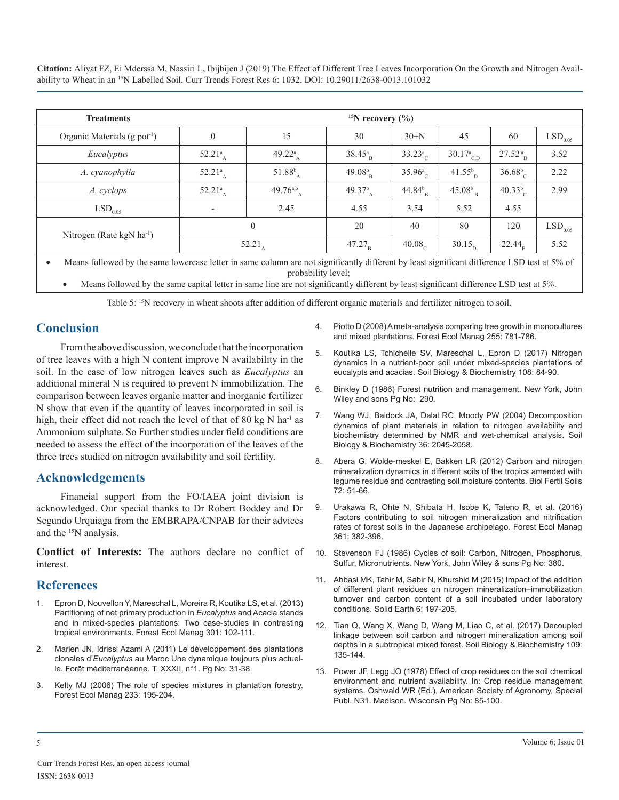| <b>Treatments</b>                        | <sup>15</sup> N recovery $(\%$ ) |                                 |                                 |                        |                          |                    |                       |  |  |
|------------------------------------------|----------------------------------|---------------------------------|---------------------------------|------------------------|--------------------------|--------------------|-----------------------|--|--|
| Organic Materials (g pot <sup>-1</sup> ) | $\boldsymbol{0}$                 | 15                              | 30                              | $30+N$                 | 45                       | 60                 | $LSD$ <sub>0.05</sub> |  |  |
| Eucalyptus                               | 52.21 $_{\rm A}^{\rm a}$         | 49.22 <sup>a</sup> <sub>A</sub> | 38.45 <sup>a</sup> <sub>B</sub> | $33.23^{a}_{C}$        | $30.17^a_{C,D}$          | 27.52 <sup>a</sup> | 3.52                  |  |  |
| A. cyanophylla                           | 52.21 $_{\rm A}^{\rm a}$         | $51.88^{b}$                     | $49.08_{\text{B}}^{b}$          | 35.96 <sup>a</sup>     | $41.55^{b}$ <sub>D</sub> | $36.68^{b}$        | 2.22                  |  |  |
| A. cyclops                               | $52.21^a$ <sub>A</sub>           | $49.76^{a,b}$ <sub>A</sub>      | 49.37 <sup>b</sup> <sub>A</sub> | $44.84_{\text{B}}^{b}$ | $45.08b_{B}$             | $40.33^{b}_{c}$    | 2.99                  |  |  |
| $LSD$ <sub>0.05</sub>                    | $\overline{\phantom{a}}$         | 2.45                            | 4.55                            | 3.54                   | 5.52                     | 4.55               |                       |  |  |
|                                          |                                  | $\mathbf{0}$                    | 20                              | 40                     | 80                       | 120                | $\mathrm{LSD}_{0.05}$ |  |  |
| Nitrogen (Rate kgN $ha^{-1}$ )           | 52.21 <sub>A</sub>               |                                 | $47.27_B$                       | 40.08 <sub>c</sub>     | $30.15_{\rm p}$          | 22.44 <sub>E</sub> | 5.52                  |  |  |

Means followed by the same lowercase letter in same column are not significantly different by least significant difference LSD test at 5% of probability level;

Means followed by the same capital letter in same line are not significantly different by least significant difference LSD test at 5%.

Table 5: <sup>15</sup>N recovery in wheat shoots after addition of different organic materials and fertilizer nitrogen to soil.

# **Conclusion**

From the above discussion, we conclude that the incorporation [of tree leaves with a high N content improve N availability in the](https://www.sciencedirect.com/science/article/abs/pii/S0038071716305326)  soil. In the case of low nitrogen leaves such as *Eucalyptus* an additional mineral N is required to prevent N immobilization. The [comparison between leaves organic matter and inorganic fertilizer](https://www.wiley.com/en-ae/Forest+Nutrition+Management-p-9780471818830)  N show that even if the quantity of leaves incorporated in soil is high, their effect did not reach the level of that of 80 kg  $N$  ha<sup>-1</sup> as Ammonium sulphate. So Further studies under field conditions are needed to assess the effect of the incorporation of the leaves of the three trees studied on nitrogen availability and soil fertility.

# **Acknowledgements**

Financial support from the FO/IAEA joint division is acknowledged. Our special thanks to Dr Robert Boddey and Dr Segundo Urquiaga from the EMBRAPA/CNPAB for their advices and the 15N analysis.

**Conflict of Interests:** The authors declare no conflict of interest.

# **References**

- 1. [Epron D, Nouvellon Y, Mareschal L, Moreira R, Koutika LS, et al. \(2013\)](https://www.sciencedirect.com/science/article/pii/S0378112712006317)  [Partitioning of net primary production in](https://www.sciencedirect.com/science/article/pii/S0378112712006317) *Eucalyptus* and Acacia stands [and in mixed-species plantations: Two case-studies in contrasting](https://www.sciencedirect.com/science/article/pii/S0378112712006317) [tropical environments. Forest Ecol Manag 301: 102-111.](https://www.sciencedirect.com/science/article/pii/S0378112712006317)
- 2. [Marien JN, Idrissi Azami A \(2011\) Le développement des plantations](http://agritrop.cirad.fr/565819/)  clonales d'*Eucalyptus* [au Maroc Une dynamique toujours plus actuel](http://agritrop.cirad.fr/565819/)[le. Forêt méditerranéenne. T. XXXII, n°1. Pg No: 31-38.](http://agritrop.cirad.fr/565819/)
- 3. [Kelty MJ \(2006\) The role of species mixtures in plantation forestry.](https://www.sciencedirect.com/science/article/pii/S0378112706003239)  [Forest Ecol Manag 233: 195-204.](https://www.sciencedirect.com/science/article/pii/S0378112706003239)
- 4. [Piotto D \(2008\) A meta-analysis comparing tree growth in monocultures](https://www.sciencedirect.com/science/article/pii/S0378112707007360) [and mixed plantations. Forest Ecol Manag 255: 781-786.](https://www.sciencedirect.com/science/article/pii/S0378112707007360)
- 5. [Koutika LS, Tchichelle SV, Mareschal L, Epron D \(2017\) Nitrogen](https://www.sciencedirect.com/science/article/abs/pii/S0038071716305326)  dynamics in a nutrient-poor soil under mixed-species plantations of [eucalypts and acacias. Soil Biology & Biochemistry 108: 84-90.](https://www.sciencedirect.com/science/article/abs/pii/S0038071716305326)
- 6. [Binkley D \(1986\) Forest nutrition and management. New York, John](https://www.wiley.com/en-ae/Forest+Nutrition+Management-p-9780471818830)  Wiley and sons Pg No: 290.
- 7. [Wang WJ, Baldock JA, Dalal RC, Moody PW \(2004\) Decomposition](https://www.sciencedirect.com/science/article/abs/pii/S0038071704002524)  [dynamics of plant materials in relation to nitrogen availability and](https://www.sciencedirect.com/science/article/abs/pii/S0038071704002524) [biochemistry determined by NMR and wet-chemical analysis. Soil](https://www.sciencedirect.com/science/article/abs/pii/S0038071704002524)  [Biology & Biochemistry 36: 2045-2058.](https://www.sciencedirect.com/science/article/abs/pii/S0038071704002524)
- 8. [Abera G, Wolde-meskel E, Bakken LR \(2012\) Carbon and nitrogen](https://link.springer.com/article/10.1007/s00374-011-0607-8)  [mineralization dynamics in different soils of the tropics amended with](https://link.springer.com/article/10.1007/s00374-011-0607-8)  [legume residue and contrasting soil moisture contents. Biol Fertil Soils](https://link.springer.com/article/10.1007/s00374-011-0607-8)  [72: 51-66.](https://link.springer.com/article/10.1007/s00374-011-0607-8)
- 9. [Urakawa R, Ohte N, Shibata H, Isobe K, Tateno R, et al. \(2016\)](https://www.sciencedirect.com/science/article/pii/S0378112715006568)  [Factors contributing to soil nitrogen mineralization and nitrification](https://www.sciencedirect.com/science/article/pii/S0378112715006568)  [rates of forest soils in the Japanese archipelago. Forest Ecol Manag](https://www.sciencedirect.com/science/article/pii/S0378112715006568)  [361: 382-396.](https://www.sciencedirect.com/science/article/pii/S0378112715006568)
- 10. [Stevenson FJ \(1986\) Cycles of soil: Carbon, Nitrogen, Phosphorus,](https://www.researchgate.net/publication/255159521_Cycles_of_soils_Carbon_nitrogen_phosphorus_sulfur_micronutrients)  [Sulfur, Micronutrients. New York, John Wiley & sons Pg No: 380.](https://www.researchgate.net/publication/255159521_Cycles_of_soils_Carbon_nitrogen_phosphorus_sulfur_micronutrients)
- 11. [Abbasi MK, Tahir M, Sabir N, Khurshid M \(2015\) Impact of the addition](https://www.solid-earth.net/6/197/2015/se-6-197-2015.pdf)  [of different plant residues on nitrogen mineralization–immobilization](https://www.solid-earth.net/6/197/2015/se-6-197-2015.pdf)  [turnover and carbon content of a soil incubated under laboratory](https://www.solid-earth.net/6/197/2015/se-6-197-2015.pdf)  [conditions. Solid Earth 6: 197-205.](https://www.solid-earth.net/6/197/2015/se-6-197-2015.pdf)
- 12. [Tian Q, Wang X, Wang D, Wang M, Liao C, et al. \(2017\) Decoupled](https://www.sciencedirect.com/science/article/abs/pii/S0038071717302079) [linkage between soil carbon and nitrogen mineralization among soil](https://www.sciencedirect.com/science/article/abs/pii/S0038071717302079)  [depths in a subtropical mixed forest. Soil Biology & Biochemistry 109:](https://www.sciencedirect.com/science/article/abs/pii/S0038071717302079)  [135-144.](https://www.sciencedirect.com/science/article/abs/pii/S0038071717302079)
- 13. Power JF, Legg JO (1978) Effect of crop residues on the soil chemical environment and nutrient availability. In: Crop residue management systems. Oshwald WR (Ed.), American Society of Agronomy, Special Publ. N31. Madison. Wisconsin Pg No: 85-100.